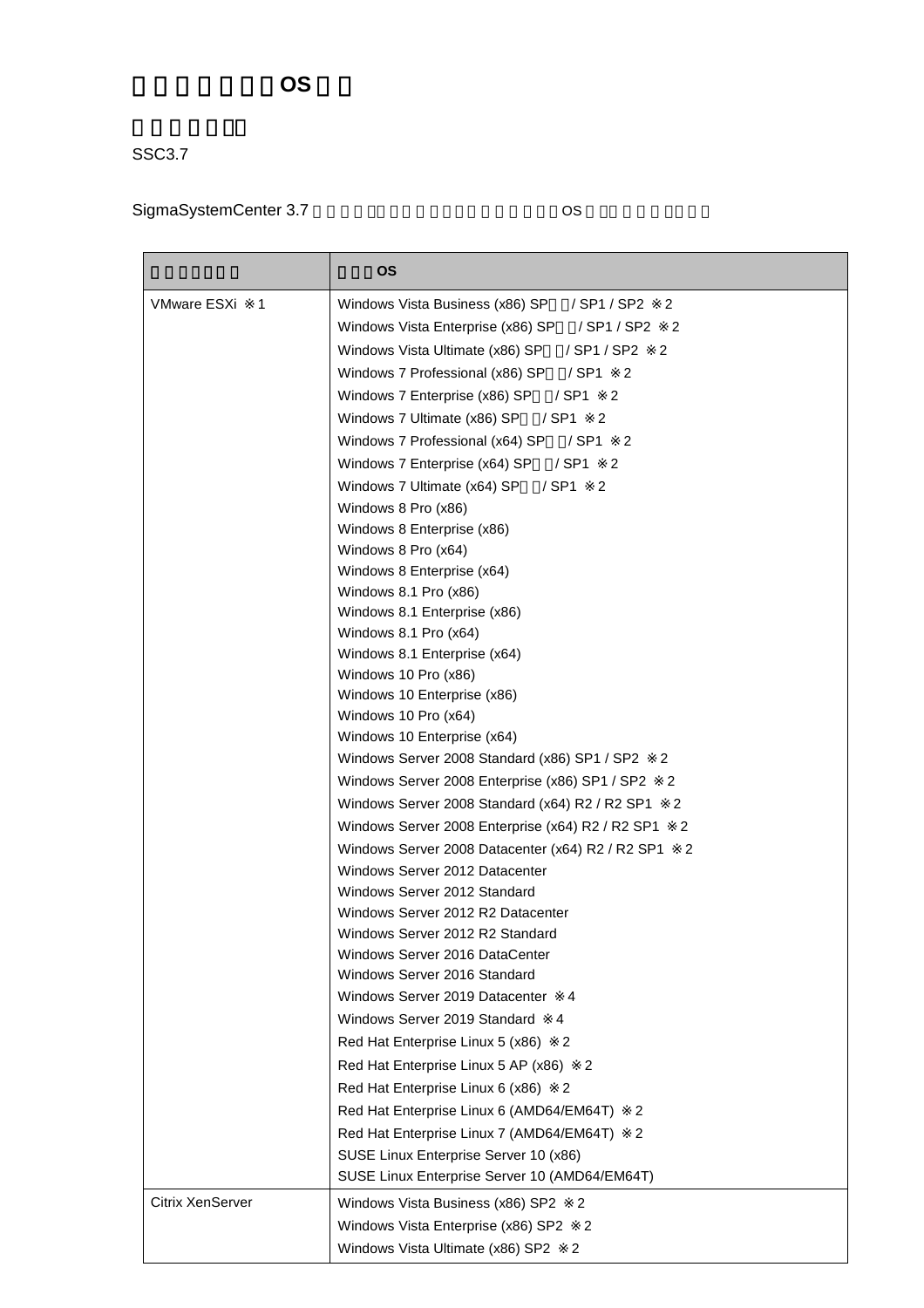## 管理対象ゲスト **OS** 一覧

SSC3.7

## SigmaSystemCenter 3.7 by Decision Cos

|                         | <b>OS</b>                                                                                                                                                                                                                                                                                                                                                                                                                                                                                                                                                                                                                                                                                                                                                                                                                                                                                                                                                                                                                                                                                                                                                                                                                                                                                                                                                                                                                                                                                                                                 |
|-------------------------|-------------------------------------------------------------------------------------------------------------------------------------------------------------------------------------------------------------------------------------------------------------------------------------------------------------------------------------------------------------------------------------------------------------------------------------------------------------------------------------------------------------------------------------------------------------------------------------------------------------------------------------------------------------------------------------------------------------------------------------------------------------------------------------------------------------------------------------------------------------------------------------------------------------------------------------------------------------------------------------------------------------------------------------------------------------------------------------------------------------------------------------------------------------------------------------------------------------------------------------------------------------------------------------------------------------------------------------------------------------------------------------------------------------------------------------------------------------------------------------------------------------------------------------------|
| <b>VMware ESXi</b><br>1 | 2<br>Windows Vista Business (x86) SP<br>/ SP1 / SP2<br>Windows Vista Enterprise (x86) SP<br>/ SP1 / SP2<br>2<br>Windows Vista Ultimate (x86) SP<br>/ SP1 / SP2<br>2<br>$/$ SP1<br>Windows 7 Professional (x86) SP<br>2<br>Windows 7 Enterprise (x86) SP<br>$/$ SP1<br>2<br>Windows 7 Ultimate (x86) SP<br>$/$ SP1<br>2<br>Windows 7 Professional (x64) SP<br>$/$ SP1<br>2<br>Windows 7 Enterprise (x64) SP<br>$/$ SP1<br>2<br>Windows 7 Ultimate (x64) SP<br>$/$ SP1<br>$\overline{2}$<br>Windows 8 Pro (x86)<br>Windows 8 Enterprise (x86)<br>Windows 8 Pro (x64)<br>Windows 8 Enterprise (x64)<br>Windows 8.1 Pro (x86)<br>Windows 8.1 Enterprise (x86)<br>Windows 8.1 Pro (x64)<br>Windows 8.1 Enterprise (x64)<br>Windows 10 Pro (x86)<br>Windows 10 Enterprise (x86)<br>Windows 10 Pro (x64)<br>Windows 10 Enterprise (x64)<br>Windows Server 2008 Standard (x86) SP1 / SP2<br>2<br>$\overline{c}$<br>Windows Server 2008 Enterprise (x86) SP1 / SP2<br>2<br>Windows Server 2008 Standard (x64) R2 / R2 SP1<br>$\overline{2}$<br>Windows Server 2008 Enterprise (x64) R2 / R2 SP1<br>$\overline{2}$<br>Windows Server 2008 Datacenter (x64) R2 / R2 SP1<br>Windows Server 2012 Datacenter<br>Windows Server 2012 Standard<br>Windows Server 2012 R2 Datacenter<br>Windows Server 2012 R2 Standard<br>Windows Server 2016 DataCenter<br>Windows Server 2016 Standard<br>Windows Server 2019 Datacenter<br>4<br>Windows Server 2019 Standard<br>4<br>Red Hat Enterprise Linux 5 (x86)<br>2<br>Red Hat Enterprise Linux 5 AP (x86)<br>2 |
|                         | Red Hat Enterprise Linux 6 (x86)<br>$\overline{2}$<br>Red Hat Enterprise Linux 6 (AMD64/EM64T)<br>2<br>Red Hat Enterprise Linux 7 (AMD64/EM64T)<br>2                                                                                                                                                                                                                                                                                                                                                                                                                                                                                                                                                                                                                                                                                                                                                                                                                                                                                                                                                                                                                                                                                                                                                                                                                                                                                                                                                                                      |
|                         | SUSE Linux Enterprise Server 10 (x86)<br>SUSE Linux Enterprise Server 10 (AMD64/EM64T)                                                                                                                                                                                                                                                                                                                                                                                                                                                                                                                                                                                                                                                                                                                                                                                                                                                                                                                                                                                                                                                                                                                                                                                                                                                                                                                                                                                                                                                    |
| Citrix XenServer        | Windows Vista Business (x86) SP2<br>2<br>$\overline{2}$<br>Windows Vista Enterprise (x86) SP2<br>Windows Vista Ultimate (x86) SP2<br>2                                                                                                                                                                                                                                                                                                                                                                                                                                                                                                                                                                                                                                                                                                                                                                                                                                                                                                                                                                                                                                                                                                                                                                                                                                                                                                                                                                                                    |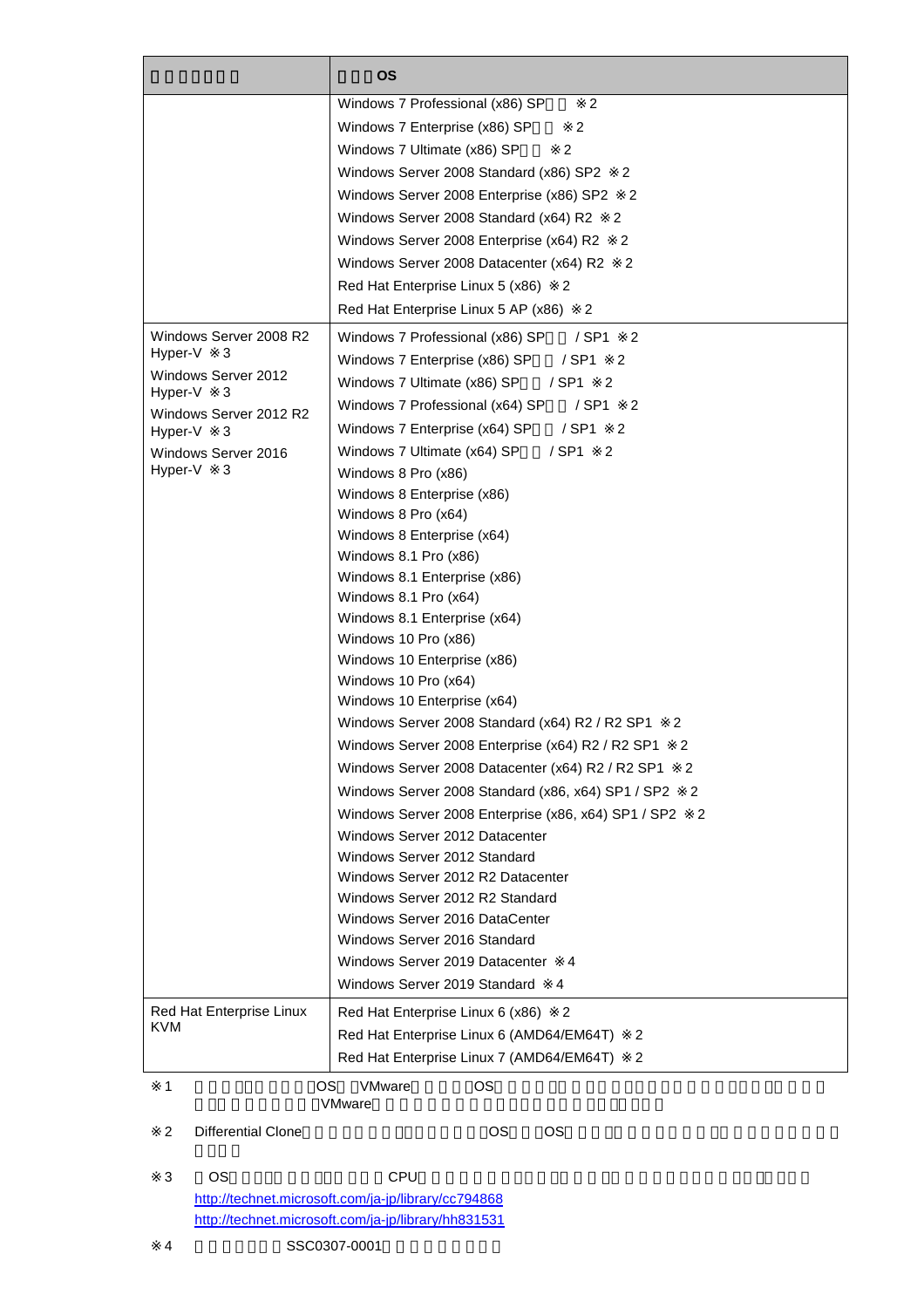|                                        | OS                                                             |
|----------------------------------------|----------------------------------------------------------------|
|                                        | Windows 7 Professional (x86) SP<br>2                           |
|                                        | $\overline{c}$<br>Windows 7 Enterprise (x86) SP                |
|                                        | Windows 7 Ultimate (x86) SP<br>2                               |
|                                        | Windows Server 2008 Standard (x86) SP2<br>$\overline{2}$       |
|                                        | Windows Server 2008 Enterprise (x86) SP2<br>2                  |
|                                        | Windows Server 2008 Standard (x64) R2<br>2                     |
|                                        | Windows Server 2008 Enterprise (x64) R2<br>2                   |
|                                        | Windows Server 2008 Datacenter (x64) R2<br>$\overline{2}$      |
|                                        | Red Hat Enterprise Linux 5 (x86)<br>-2                         |
|                                        | Red Hat Enterprise Linux 5 AP (x86)<br>2                       |
|                                        |                                                                |
| Windows Server 2008 R2<br>Hyper-V<br>3 | Windows 7 Professional (x86) SP<br>2<br>/ SP1                  |
| Windows Server 2012                    | Windows 7 Enterprise (x86) SP<br>$/$ SP1<br>2                  |
| Hyper-V<br>3                           | Windows 7 Ultimate (x86) SP<br>$/$ SP1<br>2                    |
| Windows Server 2012 R2                 | Windows 7 Professional (x64) SP<br>$/$ SP1<br>2                |
| Hyper-V<br>3                           | Windows 7 Enterprise (x64) SP<br>$/$ SP1<br>$\overline{2}$     |
| Windows Server 2016                    | Windows 7 Ultimate (x64) SP<br>$/$ SP1<br>2                    |
| Hyper-V<br>3                           | Windows 8 Pro (x86)                                            |
|                                        | Windows 8 Enterprise (x86)                                     |
|                                        | Windows 8 Pro (x64)                                            |
|                                        | Windows 8 Enterprise (x64)                                     |
|                                        | Windows 8.1 Pro (x86)                                          |
|                                        | Windows 8.1 Enterprise (x86)                                   |
|                                        | Windows 8.1 Pro (x64)                                          |
|                                        | Windows 8.1 Enterprise (x64)<br>Windows 10 Pro (x86)           |
|                                        | Windows 10 Enterprise (x86)                                    |
|                                        | Windows 10 Pro (x64)                                           |
|                                        | Windows 10 Enterprise (x64)                                    |
|                                        | Windows Server 2008 Standard (x64) R2 / R2 SP1<br>2            |
|                                        | Windows Server 2008 Enterprise (x64) R2 / R2 SP1<br>2          |
|                                        | Windows Server 2008 Datacenter (x64) R2 / R2 SP1<br>2          |
|                                        | Windows Server 2008 Standard (x86, x64) SP1 / SP2<br>2         |
|                                        |                                                                |
|                                        | Windows Server 2008 Enterprise (x86, x64) SP1 / SP2<br>2       |
|                                        | Windows Server 2012 Datacenter<br>Windows Server 2012 Standard |
|                                        | Windows Server 2012 R2 Datacenter                              |
|                                        | Windows Server 2012 R2 Standard                                |
|                                        | Windows Server 2016 DataCenter                                 |
|                                        | Windows Server 2016 Standard                                   |
|                                        | Windows Server 2019 Datacenter<br>4                            |
|                                        | Windows Server 2019 Standard<br>4                              |
| Red Hat Enterprise Linux               | Red Hat Enterprise Linux 6 (x86)<br>2                          |
| <b>KVM</b>                             | Red Hat Enterprise Linux 6 (AMD64/EM64T)<br>2                  |
|                                        | Red Hat Enterprise Linux 7 (AMD64/EM64T)<br>2                  |
| 1<br><b>OS</b>                         | VMware<br><b>OS</b>                                            |
|                                        | <b>VMware</b>                                                  |
| <b>Differential Clone</b><br>2         | ОS<br><b>OS</b>                                                |
| <b>OS</b><br>3                         | <b>CPU</b>                                                     |
|                                        | http://technet.microsoft.com/ja-jp/library/cc794868            |

<http://technet.microsoft.com/ja-jp/library/cc794868> <http://technet.microsoft.com/ja-jp/library/hh831531>